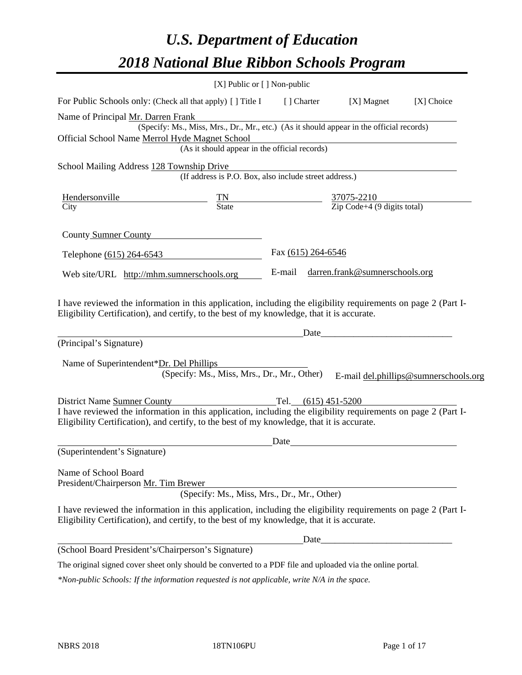# *U.S. Department of Education 2018 National Blue Ribbon Schools Program*

|                                                                                                                                                                                                                                             | [X] Public or [] Non-public                                                              |                    |                                |                                       |
|---------------------------------------------------------------------------------------------------------------------------------------------------------------------------------------------------------------------------------------------|------------------------------------------------------------------------------------------|--------------------|--------------------------------|---------------------------------------|
| For Public Schools only: (Check all that apply) [] Title I                                                                                                                                                                                  |                                                                                          | [] Charter         | [X] Magnet                     | [X] Choice                            |
| Name of Principal Mr. Darren Frank                                                                                                                                                                                                          |                                                                                          |                    |                                |                                       |
|                                                                                                                                                                                                                                             | (Specify: Ms., Miss, Mrs., Dr., Mr., etc.) (As it should appear in the official records) |                    |                                |                                       |
| Official School Name Merrol Hyde Magnet School                                                                                                                                                                                              | yue Magnet School<br>(As it should appear in the official records)                       |                    |                                |                                       |
|                                                                                                                                                                                                                                             |                                                                                          |                    |                                |                                       |
| School Mailing Address 128 Township Drive                                                                                                                                                                                                   | (If address is P.O. Box, also include street address.)                                   |                    |                                |                                       |
|                                                                                                                                                                                                                                             |                                                                                          |                    |                                |                                       |
| $\frac{\text{Hendersonville}}{\text{City}}$ $\frac{\text{TN}}{\text{State}}$ $\frac{37075-2210}{\text{Zip Code}+4 (9 digits total)}$                                                                                                        |                                                                                          |                    |                                |                                       |
| County Sumner County                                                                                                                                                                                                                        |                                                                                          |                    |                                |                                       |
| Telephone (615) 264-6543                                                                                                                                                                                                                    |                                                                                          | Fax (615) 264-6546 |                                |                                       |
| Web site/URL http://mhm.sumnerschools.org                                                                                                                                                                                                   |                                                                                          | E-mail             | darren.frank@sumnerschools.org |                                       |
| (Principal's Signature)<br>Name of Superintendent*Dr. Del Phillips                                                                                                                                                                          | (Specify: Ms., Miss, Mrs., Dr., Mr., Other)                                              | Date               |                                | E-mail del.phillips@sumnerschools.org |
|                                                                                                                                                                                                                                             |                                                                                          |                    |                                |                                       |
| District Name Sumner County<br>I have reviewed the information in this application, including the eligibility requirements on page 2 (Part I-<br>Eligibility Certification), and certify, to the best of my knowledge, that it is accurate. |                                                                                          |                    |                                |                                       |
|                                                                                                                                                                                                                                             |                                                                                          | Date               |                                |                                       |
| (Superintendent's Signature)                                                                                                                                                                                                                |                                                                                          |                    |                                |                                       |
| Name of School Board<br>President/Chairperson Mr. Tim Brewer                                                                                                                                                                                | (Specify: Ms., Miss, Mrs., Dr., Mr., Other)                                              |                    |                                |                                       |
| I have reviewed the information in this application, including the eligibility requirements on page 2 (Part I-<br>Eligibility Certification), and certify, to the best of my knowledge, that it is accurate.                                |                                                                                          |                    |                                |                                       |
|                                                                                                                                                                                                                                             |                                                                                          | Date               |                                |                                       |
| (School Board President's/Chairperson's Signature)                                                                                                                                                                                          |                                                                                          |                    |                                |                                       |
| The original signed cover sheet only should be converted to a PDF file and uploaded via the online portal.                                                                                                                                  |                                                                                          |                    |                                |                                       |

*\*Non-public Schools: If the information requested is not applicable, write N/A in the space.*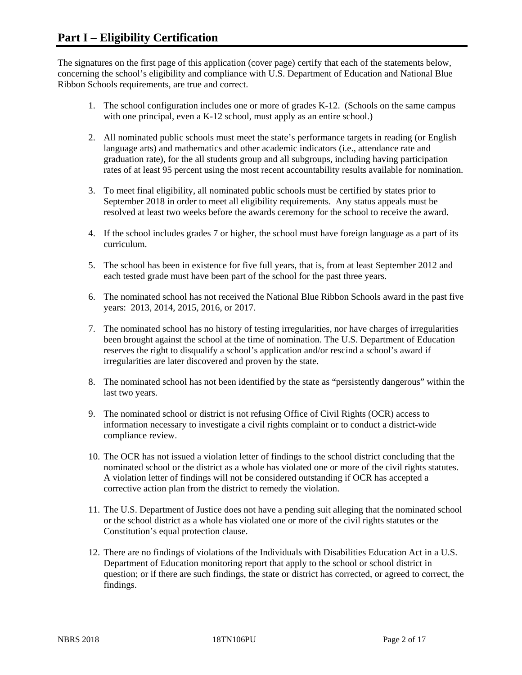The signatures on the first page of this application (cover page) certify that each of the statements below, concerning the school's eligibility and compliance with U.S. Department of Education and National Blue Ribbon Schools requirements, are true and correct.

- 1. The school configuration includes one or more of grades K-12. (Schools on the same campus with one principal, even a K-12 school, must apply as an entire school.)
- 2. All nominated public schools must meet the state's performance targets in reading (or English language arts) and mathematics and other academic indicators (i.e., attendance rate and graduation rate), for the all students group and all subgroups, including having participation rates of at least 95 percent using the most recent accountability results available for nomination.
- 3. To meet final eligibility, all nominated public schools must be certified by states prior to September 2018 in order to meet all eligibility requirements. Any status appeals must be resolved at least two weeks before the awards ceremony for the school to receive the award.
- 4. If the school includes grades 7 or higher, the school must have foreign language as a part of its curriculum.
- 5. The school has been in existence for five full years, that is, from at least September 2012 and each tested grade must have been part of the school for the past three years.
- 6. The nominated school has not received the National Blue Ribbon Schools award in the past five years: 2013, 2014, 2015, 2016, or 2017.
- 7. The nominated school has no history of testing irregularities, nor have charges of irregularities been brought against the school at the time of nomination. The U.S. Department of Education reserves the right to disqualify a school's application and/or rescind a school's award if irregularities are later discovered and proven by the state.
- 8. The nominated school has not been identified by the state as "persistently dangerous" within the last two years.
- 9. The nominated school or district is not refusing Office of Civil Rights (OCR) access to information necessary to investigate a civil rights complaint or to conduct a district-wide compliance review.
- 10. The OCR has not issued a violation letter of findings to the school district concluding that the nominated school or the district as a whole has violated one or more of the civil rights statutes. A violation letter of findings will not be considered outstanding if OCR has accepted a corrective action plan from the district to remedy the violation.
- 11. The U.S. Department of Justice does not have a pending suit alleging that the nominated school or the school district as a whole has violated one or more of the civil rights statutes or the Constitution's equal protection clause.
- 12. There are no findings of violations of the Individuals with Disabilities Education Act in a U.S. Department of Education monitoring report that apply to the school or school district in question; or if there are such findings, the state or district has corrected, or agreed to correct, the findings.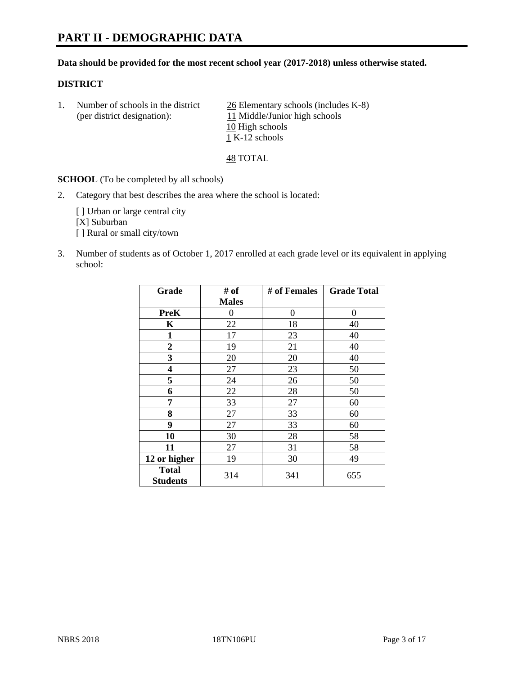# **PART II - DEMOGRAPHIC DATA**

#### **Data should be provided for the most recent school year (2017-2018) unless otherwise stated.**

#### **DISTRICT**

1. Number of schools in the district  $\frac{26}{2}$  Elementary schools (includes K-8) (per district designation): 11 Middle/Junior high schools 10 High schools 1 K-12 schools

48 TOTAL

**SCHOOL** (To be completed by all schools)

2. Category that best describes the area where the school is located:

[] Urban or large central city [X] Suburban [] Rural or small city/town

3. Number of students as of October 1, 2017 enrolled at each grade level or its equivalent in applying school:

| Grade                           | # of         | # of Females | <b>Grade Total</b> |
|---------------------------------|--------------|--------------|--------------------|
|                                 | <b>Males</b> |              |                    |
| <b>PreK</b>                     | 0            | $\theta$     | 0                  |
| K                               | 22           | 18           | 40                 |
| $\mathbf{1}$                    | 17           | 23           | 40                 |
| 2                               | 19           | 21           | 40                 |
| 3                               | 20           | 20           | 40                 |
| $\overline{\mathbf{4}}$         | 27           | 23           | 50                 |
| 5                               | 24           | 26           | 50                 |
| 6                               | 22           | 28           | 50                 |
| 7                               | 33           | 27           | 60                 |
| 8                               | 27           | 33           | 60                 |
| 9                               | 27           | 33           | 60                 |
| 10                              | 30           | 28           | 58                 |
| 11                              | 27           | 31           | 58                 |
| 12 or higher                    | 19           | 30           | 49                 |
| <b>Total</b><br><b>Students</b> | 314          | 341          | 655                |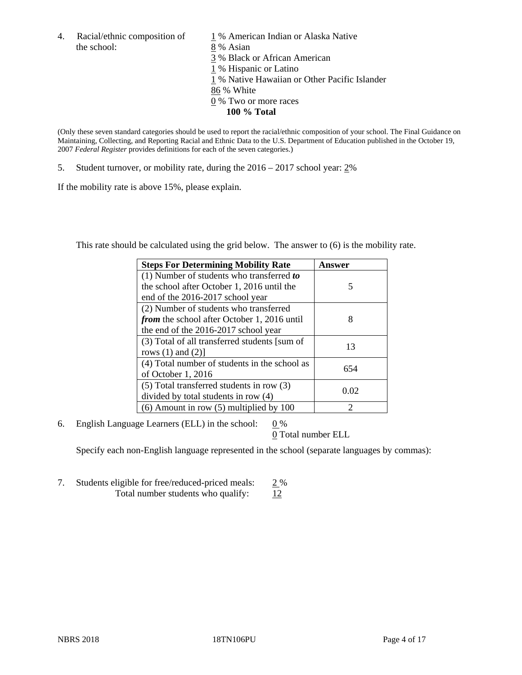4. Racial/ethnic composition of  $1\%$  American Indian or Alaska Native the school: 8 % Asian

 % Black or African American % Hispanic or Latino % Native Hawaiian or Other Pacific Islander 86 % White % Two or more races **100 % Total**

(Only these seven standard categories should be used to report the racial/ethnic composition of your school. The Final Guidance on Maintaining, Collecting, and Reporting Racial and Ethnic Data to the U.S. Department of Education published in the October 19, 2007 *Federal Register* provides definitions for each of the seven categories.)

5. Student turnover, or mobility rate, during the 2016 – 2017 school year: 2%

If the mobility rate is above 15%, please explain.

This rate should be calculated using the grid below. The answer to (6) is the mobility rate.

| <b>Steps For Determining Mobility Rate</b>         | Answer        |
|----------------------------------------------------|---------------|
| $(1)$ Number of students who transferred to        |               |
| the school after October 1, 2016 until the         | 5             |
| end of the 2016-2017 school year                   |               |
| (2) Number of students who transferred             |               |
| <i>from</i> the school after October 1, 2016 until | 8             |
| the end of the 2016-2017 school year               |               |
| (3) Total of all transferred students [sum of      | 13            |
| rows $(1)$ and $(2)$ ]                             |               |
| (4) Total number of students in the school as      | 654           |
| of October 1, 2016                                 |               |
| (5) Total transferred students in row (3)          | 0.02          |
| divided by total students in row (4)               |               |
| $(6)$ Amount in row $(5)$ multiplied by 100        | $\mathcal{D}$ |

6. English Language Learners (ELL) in the school:  $0\%$ 

0 Total number ELL

Specify each non-English language represented in the school (separate languages by commas):

7. Students eligible for free/reduced-priced meals: 2 % Total number students who qualify:  $12$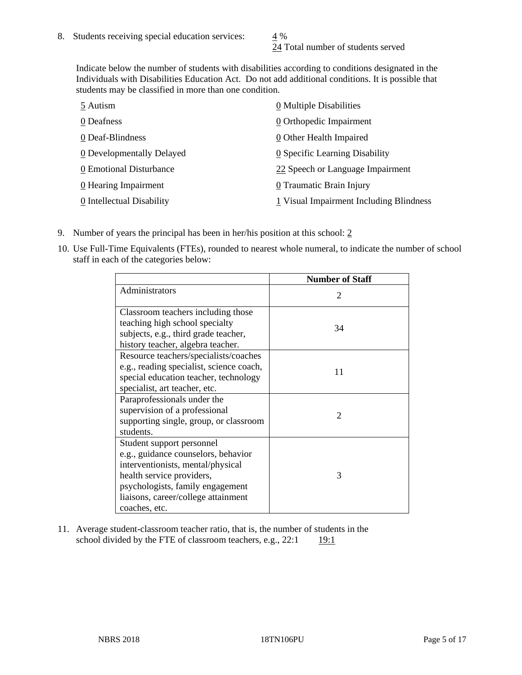24 Total number of students served

Indicate below the number of students with disabilities according to conditions designated in the Individuals with Disabilities Education Act. Do not add additional conditions. It is possible that students may be classified in more than one condition.

| 5 Autism                  | 0 Multiple Disabilities                 |
|---------------------------|-----------------------------------------|
| 0 Deafness                | 0 Orthopedic Impairment                 |
| 0 Deaf-Blindness          | 0 Other Health Impaired                 |
| 0 Developmentally Delayed | 0 Specific Learning Disability          |
| 0 Emotional Disturbance   | 22 Speech or Language Impairment        |
| 0 Hearing Impairment      | 0 Traumatic Brain Injury                |
| 0 Intellectual Disability | 1 Visual Impairment Including Blindness |

- 9. Number of years the principal has been in her/his position at this school:  $2$
- 10. Use Full-Time Equivalents (FTEs), rounded to nearest whole numeral, to indicate the number of school staff in each of the categories below:

|                                                                                                                                                                                                                                | <b>Number of Staff</b>      |
|--------------------------------------------------------------------------------------------------------------------------------------------------------------------------------------------------------------------------------|-----------------------------|
| Administrators                                                                                                                                                                                                                 | $\mathcal{D}_{\mathcal{L}}$ |
| Classroom teachers including those<br>teaching high school specialty<br>subjects, e.g., third grade teacher,                                                                                                                   | 34                          |
| history teacher, algebra teacher.                                                                                                                                                                                              |                             |
| Resource teachers/specialists/coaches<br>e.g., reading specialist, science coach,<br>special education teacher, technology<br>specialist, art teacher, etc.                                                                    | 11                          |
| Paraprofessionals under the<br>supervision of a professional<br>supporting single, group, or classroom<br>students.                                                                                                            | $\mathcal{D}_{\mathcal{A}}$ |
| Student support personnel<br>e.g., guidance counselors, behavior<br>interventionists, mental/physical<br>health service providers,<br>psychologists, family engagement<br>liaisons, career/college attainment<br>coaches, etc. | 3                           |

11. Average student-classroom teacher ratio, that is, the number of students in the school divided by the FTE of classroom teachers, e.g.,  $22:1$  19:1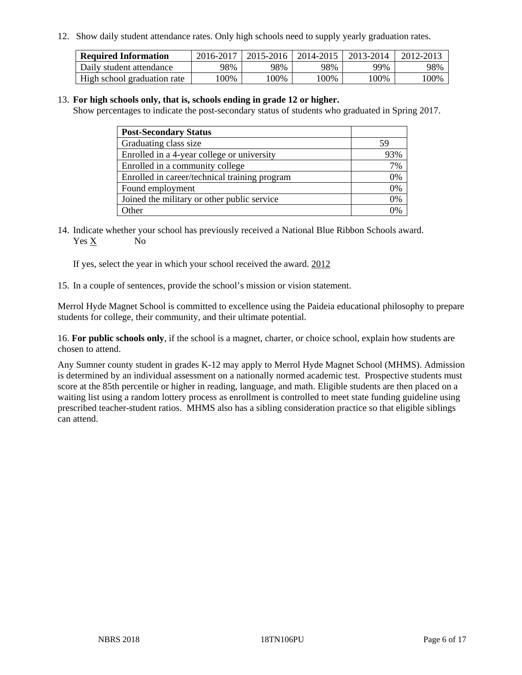12. Show daily student attendance rates. Only high schools need to supply yearly graduation rates.

| <b>Required Information</b> | 2016-2017 | 2015-2016 | 2014-2015 | 2013-2014 | 2012-2013 |
|-----------------------------|-----------|-----------|-----------|-----------|-----------|
| Daily student attendance    | 98%       | 98%       | 98%       | 99%       | 98%       |
| High school graduation rate | 100%      | 00%       | 00%       | 100%      | 00%       |

#### 13. **For high schools only, that is, schools ending in grade 12 or higher.**

Show percentages to indicate the post-secondary status of students who graduated in Spring 2017.

| <b>Post-Secondary Status</b>                  |     |
|-----------------------------------------------|-----|
| Graduating class size                         | 59  |
| Enrolled in a 4-year college or university    | 93% |
| Enrolled in a community college               | 7%  |
| Enrolled in career/technical training program | 0%  |
| Found employment                              | 0%  |
| Joined the military or other public service   | 0%  |
| $\Delta$ ther                                 | 0/  |

14. Indicate whether your school has previously received a National Blue Ribbon Schools award. Yes X No

If yes, select the year in which your school received the award. 2012

15. In a couple of sentences, provide the school's mission or vision statement.

Merrol Hyde Magnet School is committed to excellence using the Paideia educational philosophy to prepare students for college, their community, and their ultimate potential.

16. **For public schools only**, if the school is a magnet, charter, or choice school, explain how students are chosen to attend.

Any Sumner county student in grades K-12 may apply to Merrol Hyde Magnet School (MHMS). Admission is determined by an individual assessment on a nationally normed academic test. Prospective students must score at the 85th percentile or higher in reading, language, and math. Eligible students are then placed on a waiting list using a random lottery process as enrollment is controlled to meet state funding guideline using prescribed teacher-student ratios. MHMS also has a sibling consideration practice so that eligible siblings can attend.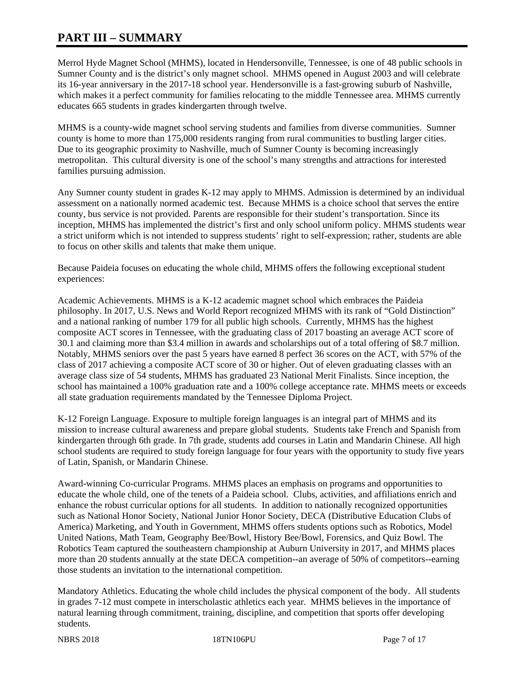# **PART III – SUMMARY**

Merrol Hyde Magnet School (MHMS), located in Hendersonville, Tennessee, is one of 48 public schools in Sumner County and is the district's only magnet school. MHMS opened in August 2003 and will celebrate its 16-year anniversary in the 2017-18 school year. Hendersonville is a fast-growing suburb of Nashville, which makes it a perfect community for families relocating to the middle Tennessee area. MHMS currently educates 665 students in grades kindergarten through twelve.

MHMS is a county-wide magnet school serving students and families from diverse communities. Sumner county is home to more than 175,000 residents ranging from rural communities to bustling larger cities. Due to its geographic proximity to Nashville, much of Sumner County is becoming increasingly metropolitan. This cultural diversity is one of the school's many strengths and attractions for interested families pursuing admission.

Any Sumner county student in grades K-12 may apply to MHMS. Admission is determined by an individual assessment on a nationally normed academic test. Because MHMS is a choice school that serves the entire county, bus service is not provided. Parents are responsible for their student's transportation. Since its inception, MHMS has implemented the district's first and only school uniform policy. MHMS students wear a strict uniform which is not intended to suppress students' right to self-expression; rather, students are able to focus on other skills and talents that make them unique.

Because Paideia focuses on educating the whole child, MHMS offers the following exceptional student experiences:

Academic Achievements. MHMS is a K-12 academic magnet school which embraces the Paideia philosophy. In 2017, U.S. News and World Report recognized MHMS with its rank of "Gold Distinction" and a national ranking of number 179 for all public high schools. Currently, MHMS has the highest composite ACT scores in Tennessee, with the graduating class of 2017 boasting an average ACT score of 30.1 and claiming more than \$3.4 million in awards and scholarships out of a total offering of \$8.7 million. Notably, MHMS seniors over the past 5 years have earned 8 perfect 36 scores on the ACT, with 57% of the class of 2017 achieving a composite ACT score of 30 or higher. Out of eleven graduating classes with an average class size of 54 students, MHMS has graduated 23 National Merit Finalists. Since inception, the school has maintained a 100% graduation rate and a 100% college acceptance rate. MHMS meets or exceeds all state graduation requirements mandated by the Tennessee Diploma Project.

K-12 Foreign Language. Exposure to multiple foreign languages is an integral part of MHMS and its mission to increase cultural awareness and prepare global students. Students take French and Spanish from kindergarten through 6th grade. In 7th grade, students add courses in Latin and Mandarin Chinese. All high school students are required to study foreign language for four years with the opportunity to study five years of Latin, Spanish, or Mandarin Chinese.

Award-winning Co-curricular Programs. MHMS places an emphasis on programs and opportunities to educate the whole child, one of the tenets of a Paideia school. Clubs, activities, and affiliations enrich and enhance the robust curricular options for all students. In addition to nationally recognized opportunities such as National Honor Society, National Junior Honor Society, DECA (Distributive Education Clubs of America) Marketing, and Youth in Government, MHMS offers students options such as Robotics, Model United Nations, Math Team, Geography Bee/Bowl, History Bee/Bowl, Forensics, and Quiz Bowl. The Robotics Team captured the southeastern championship at Auburn University in 2017, and MHMS places more than 20 students annually at the state DECA competition--an average of 50% of competitors--earning those students an invitation to the international competition.

Mandatory Athletics. Educating the whole child includes the physical component of the body. All students in grades 7-12 must compete in interscholastic athletics each year. MHMS believes in the importance of natural learning through commitment, training, discipline, and competition that sports offer developing students.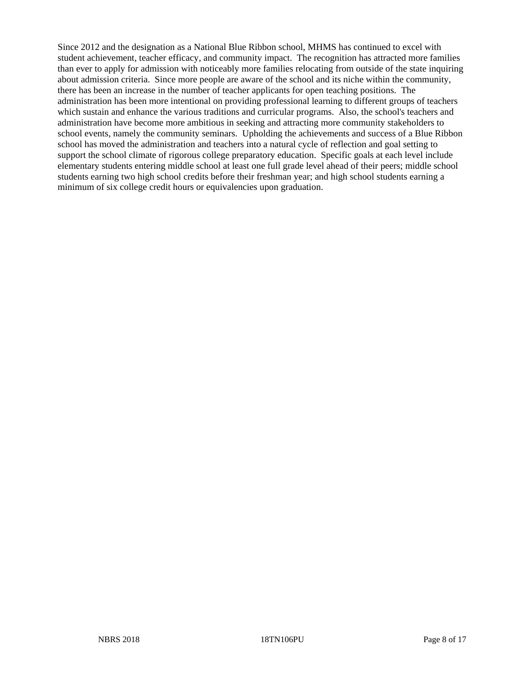Since 2012 and the designation as a National Blue Ribbon school, MHMS has continued to excel with student achievement, teacher efficacy, and community impact. The recognition has attracted more families than ever to apply for admission with noticeably more families relocating from outside of the state inquiring about admission criteria. Since more people are aware of the school and its niche within the community, there has been an increase in the number of teacher applicants for open teaching positions. The administration has been more intentional on providing professional learning to different groups of teachers which sustain and enhance the various traditions and curricular programs. Also, the school's teachers and administration have become more ambitious in seeking and attracting more community stakeholders to school events, namely the community seminars. Upholding the achievements and success of a Blue Ribbon school has moved the administration and teachers into a natural cycle of reflection and goal setting to support the school climate of rigorous college preparatory education. Specific goals at each level include elementary students entering middle school at least one full grade level ahead of their peers; middle school students earning two high school credits before their freshman year; and high school students earning a minimum of six college credit hours or equivalencies upon graduation.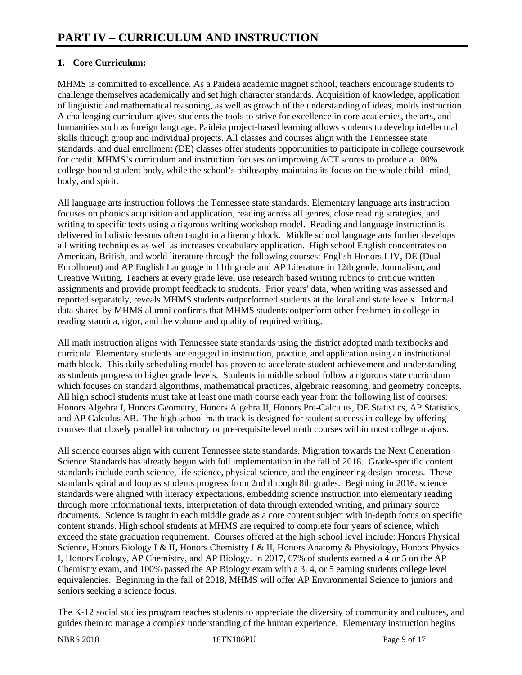# **1. Core Curriculum:**

MHMS is committed to excellence. As a Paideia academic magnet school, teachers encourage students to challenge themselves academically and set high character standards. Acquisition of knowledge, application of linguistic and mathematical reasoning, as well as growth of the understanding of ideas, molds instruction. A challenging curriculum gives students the tools to strive for excellence in core academics, the arts, and humanities such as foreign language. Paideia project-based learning allows students to develop intellectual skills through group and individual projects. All classes and courses align with the Tennessee state standards, and dual enrollment (DE) classes offer students opportunities to participate in college coursework for credit. MHMS's curriculum and instruction focuses on improving ACT scores to produce a 100% college-bound student body, while the school's philosophy maintains its focus on the whole child--mind, body, and spirit.

All language arts instruction follows the Tennessee state standards. Elementary language arts instruction focuses on phonics acquisition and application, reading across all genres, close reading strategies, and writing to specific texts using a rigorous writing workshop model. Reading and language instruction is delivered in holistic lessons often taught in a literacy block. Middle school language arts further develops all writing techniques as well as increases vocabulary application. High school English concentrates on American, British, and world literature through the following courses: English Honors I-IV, DE (Dual Enrollment) and AP English Language in 11th grade and AP Literature in 12th grade, Journalism, and Creative Writing. Teachers at every grade level use research based writing rubrics to critique written assignments and provide prompt feedback to students. Prior years' data, when writing was assessed and reported separately, reveals MHMS students outperformed students at the local and state levels. Informal data shared by MHMS alumni confirms that MHMS students outperform other freshmen in college in reading stamina, rigor, and the volume and quality of required writing.

All math instruction aligns with Tennessee state standards using the district adopted math textbooks and curricula. Elementary students are engaged in instruction, practice, and application using an instructional math block. This daily scheduling model has proven to accelerate student achievement and understanding as students progress to higher grade levels. Students in middle school follow a rigorous state curriculum which focuses on standard algorithms, mathematical practices, algebraic reasoning, and geometry concepts. All high school students must take at least one math course each year from the following list of courses: Honors Algebra I, Honors Geometry, Honors Algebra II, Honors Pre-Calculus, DE Statistics, AP Statistics, and AP Calculus AB. The high school math track is designed for student success in college by offering courses that closely parallel introductory or pre-requisite level math courses within most college majors.

All science courses align with current Tennessee state standards. Migration towards the Next Generation Science Standards has already begun with full implementation in the fall of 2018. Grade-specific content standards include earth science, life science, physical science, and the engineering design process. These standards spiral and loop as students progress from 2nd through 8th grades. Beginning in 2016, science standards were aligned with literacy expectations, embedding science instruction into elementary reading through more informational texts, interpretation of data through extended writing, and primary source documents. Science is taught in each middle grade as a core content subject with in-depth focus on specific content strands. High school students at MHMS are required to complete four years of science, which exceed the state graduation requirement. Courses offered at the high school level include: Honors Physical Science, Honors Biology I & II, Honors Chemistry I & II, Honors Anatomy & Physiology, Honors Physics I, Honors Ecology, AP Chemistry, and AP Biology. In 2017, 67% of students earned a 4 or 5 on the AP Chemistry exam, and 100% passed the AP Biology exam with a 3, 4, or 5 earning students college level equivalencies. Beginning in the fall of 2018, MHMS will offer AP Environmental Science to juniors and seniors seeking a science focus.

The K-12 social studies program teaches students to appreciate the diversity of community and cultures, and guides them to manage a complex understanding of the human experience. Elementary instruction begins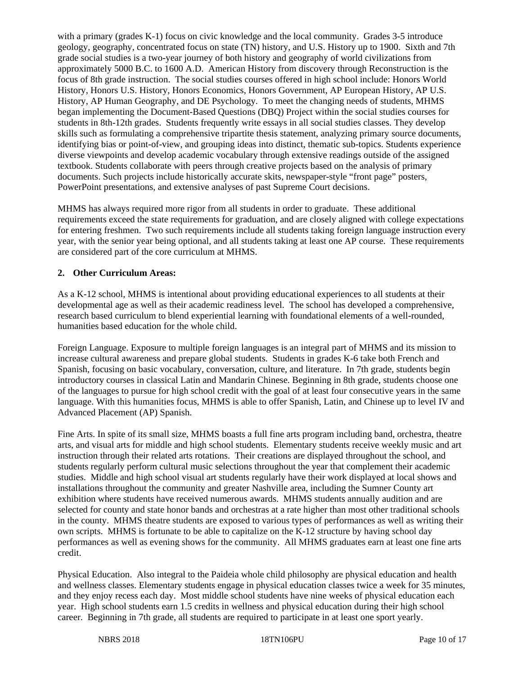with a primary (grades K-1) focus on civic knowledge and the local community. Grades 3-5 introduce geology, geography, concentrated focus on state (TN) history, and U.S. History up to 1900. Sixth and 7th grade social studies is a two-year journey of both history and geography of world civilizations from approximately 5000 B.C. to 1600 A.D. American History from discovery through Reconstruction is the focus of 8th grade instruction. The social studies courses offered in high school include: Honors World History, Honors U.S. History, Honors Economics, Honors Government, AP European History, AP U.S. History, AP Human Geography, and DE Psychology. To meet the changing needs of students, MHMS began implementing the Document-Based Questions (DBQ) Project within the social studies courses for students in 8th-12th grades. Students frequently write essays in all social studies classes. They develop skills such as formulating a comprehensive tripartite thesis statement, analyzing primary source documents, identifying bias or point-of-view, and grouping ideas into distinct, thematic sub-topics. Students experience diverse viewpoints and develop academic vocabulary through extensive readings outside of the assigned textbook. Students collaborate with peers through creative projects based on the analysis of primary documents. Such projects include historically accurate skits, newspaper-style "front page" posters, PowerPoint presentations, and extensive analyses of past Supreme Court decisions.

MHMS has always required more rigor from all students in order to graduate. These additional requirements exceed the state requirements for graduation, and are closely aligned with college expectations for entering freshmen. Two such requirements include all students taking foreign language instruction every year, with the senior year being optional, and all students taking at least one AP course. These requirements are considered part of the core curriculum at MHMS.

## **2. Other Curriculum Areas:**

As a K-12 school, MHMS is intentional about providing educational experiences to all students at their developmental age as well as their academic readiness level. The school has developed a comprehensive, research based curriculum to blend experiential learning with foundational elements of a well-rounded, humanities based education for the whole child.

Foreign Language. Exposure to multiple foreign languages is an integral part of MHMS and its mission to increase cultural awareness and prepare global students. Students in grades K-6 take both French and Spanish, focusing on basic vocabulary, conversation, culture, and literature. In 7th grade, students begin introductory courses in classical Latin and Mandarin Chinese. Beginning in 8th grade, students choose one of the languages to pursue for high school credit with the goal of at least four consecutive years in the same language. With this humanities focus, MHMS is able to offer Spanish, Latin, and Chinese up to level IV and Advanced Placement (AP) Spanish.

Fine Arts. In spite of its small size, MHMS boasts a full fine arts program including band, orchestra, theatre arts, and visual arts for middle and high school students. Elementary students receive weekly music and art instruction through their related arts rotations. Their creations are displayed throughout the school, and students regularly perform cultural music selections throughout the year that complement their academic studies. Middle and high school visual art students regularly have their work displayed at local shows and installations throughout the community and greater Nashville area, including the Sumner County art exhibition where students have received numerous awards. MHMS students annually audition and are selected for county and state honor bands and orchestras at a rate higher than most other traditional schools in the county. MHMS theatre students are exposed to various types of performances as well as writing their own scripts. MHMS is fortunate to be able to capitalize on the K-12 structure by having school day performances as well as evening shows for the community. All MHMS graduates earn at least one fine arts credit.

Physical Education. Also integral to the Paideia whole child philosophy are physical education and health and wellness classes. Elementary students engage in physical education classes twice a week for 35 minutes, and they enjoy recess each day. Most middle school students have nine weeks of physical education each year. High school students earn 1.5 credits in wellness and physical education during their high school career. Beginning in 7th grade, all students are required to participate in at least one sport yearly.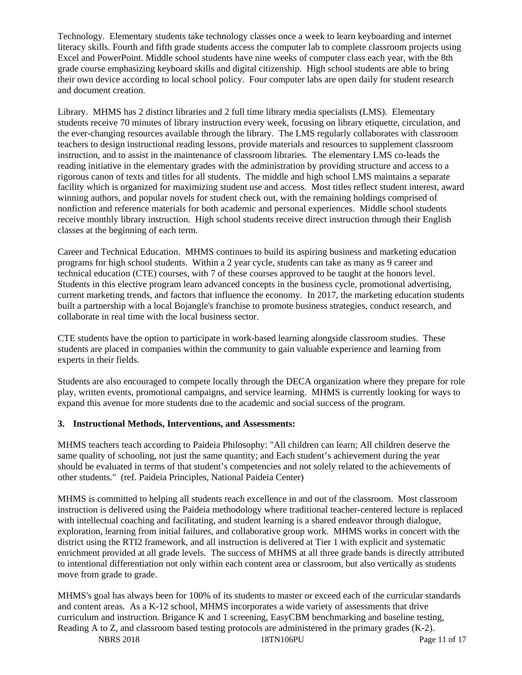Technology. Elementary students take technology classes once a week to learn keyboarding and internet literacy skills. Fourth and fifth grade students access the computer lab to complete classroom projects using Excel and PowerPoint. Middle school students have nine weeks of computer class each year, with the 8th grade course emphasizing keyboard skills and digital citizenship. High school students are able to bring their own device according to local school policy. Four computer labs are open daily for student research and document creation.

Library. MHMS has 2 distinct libraries and 2 full time library media specialists (LMS). Elementary students receive 70 minutes of library instruction every week, focusing on library etiquette, circulation, and the ever-changing resources available through the library. The LMS regularly collaborates with classroom teachers to design instructional reading lessons, provide materials and resources to supplement classroom instruction, and to assist in the maintenance of classroom libraries. The elementary LMS co-leads the reading initiative in the elementary grades with the administration by providing structure and access to a rigorous canon of texts and titles for all students. The middle and high school LMS maintains a separate facility which is organized for maximizing student use and access. Most titles reflect student interest, award winning authors, and popular novels for student check out, with the remaining holdings comprised of nonfiction and reference materials for both academic and personal experiences. Middle school students receive monthly library instruction. High school students receive direct instruction through their English classes at the beginning of each term.

Career and Technical Education. MHMS continues to build its aspiring business and marketing education programs for high school students. Within a 2 year cycle, students can take as many as 9 career and technical education (CTE) courses, with 7 of these courses approved to be taught at the honors level. Students in this elective program learn advanced concepts in the business cycle, promotional advertising, current marketing trends, and factors that influence the economy. In 2017, the marketing education students built a partnership with a local Bojangle's franchise to promote business strategies, conduct research, and collaborate in real time with the local business sector.

CTE students have the option to participate in work-based learning alongside classroom studies. These students are placed in companies within the community to gain valuable experience and learning from experts in their fields.

Students are also encouraged to compete locally through the DECA organization where they prepare for role play, written events, promotional campaigns, and service learning. MHMS is currently looking for ways to expand this avenue for more students due to the academic and social success of the program.

## **3. Instructional Methods, Interventions, and Assessments:**

MHMS teachers teach according to Paideia Philosophy: "All children can learn; All children deserve the same quality of schooling, not just the same quantity; and Each student's achievement during the year should be evaluated in terms of that student's competencies and not solely related to the achievements of other students." (ref. Paideia Principles, National Paideia Center)

MHMS is committed to helping all students reach excellence in and out of the classroom. Most classroom instruction is delivered using the Paideia methodology where traditional teacher-centered lecture is replaced with intellectual coaching and facilitating, and student learning is a shared endeavor through dialogue, exploration, learning from initial failures, and collaborative group work. MHMS works in concert with the district using the RTI2 framework, and all instruction is delivered at Tier 1 with explicit and systematic enrichment provided at all grade levels. The success of MHMS at all three grade bands is directly attributed to intentional differentiation not only within each content area or classroom, but also vertically as students move from grade to grade.

NBRS 2018 18TN106PU Page 11 of 17 MHMS's goal has always been for 100% of its students to master or exceed each of the curricular standards and content areas. As a K-12 school, MHMS incorporates a wide variety of assessments that drive curriculum and instruction. Brigance K and 1 screening, EasyCBM benchmarking and baseline testing, Reading A to Z, and classroom based testing protocols are administered in the primary grades (K-2).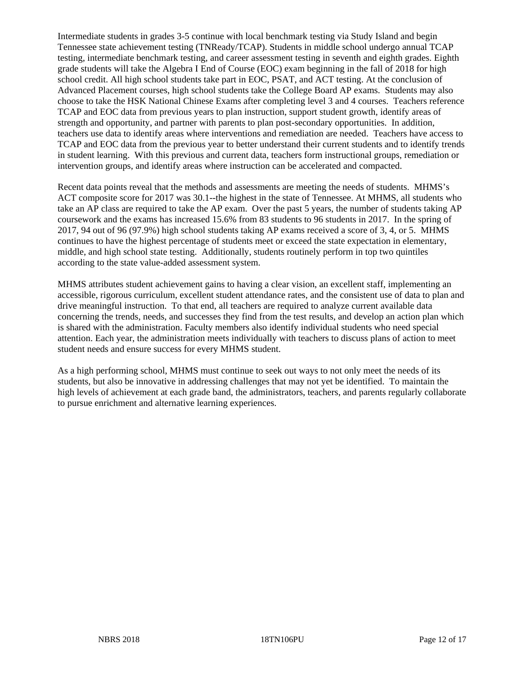Intermediate students in grades 3-5 continue with local benchmark testing via Study Island and begin Tennessee state achievement testing (TNReady/TCAP). Students in middle school undergo annual TCAP testing, intermediate benchmark testing, and career assessment testing in seventh and eighth grades. Eighth grade students will take the Algebra I End of Course (EOC) exam beginning in the fall of 2018 for high school credit. All high school students take part in EOC, PSAT, and ACT testing. At the conclusion of Advanced Placement courses, high school students take the College Board AP exams. Students may also choose to take the HSK National Chinese Exams after completing level 3 and 4 courses. Teachers reference TCAP and EOC data from previous years to plan instruction, support student growth, identify areas of strength and opportunity, and partner with parents to plan post-secondary opportunities. In addition, teachers use data to identify areas where interventions and remediation are needed. Teachers have access to TCAP and EOC data from the previous year to better understand their current students and to identify trends in student learning. With this previous and current data, teachers form instructional groups, remediation or intervention groups, and identify areas where instruction can be accelerated and compacted.

Recent data points reveal that the methods and assessments are meeting the needs of students. MHMS's ACT composite score for 2017 was 30.1--the highest in the state of Tennessee. At MHMS, all students who take an AP class are required to take the AP exam. Over the past 5 years, the number of students taking AP coursework and the exams has increased 15.6% from 83 students to 96 students in 2017. In the spring of 2017, 94 out of 96 (97.9%) high school students taking AP exams received a score of 3, 4, or 5. MHMS continues to have the highest percentage of students meet or exceed the state expectation in elementary, middle, and high school state testing. Additionally, students routinely perform in top two quintiles according to the state value-added assessment system.

MHMS attributes student achievement gains to having a clear vision, an excellent staff, implementing an accessible, rigorous curriculum, excellent student attendance rates, and the consistent use of data to plan and drive meaningful instruction. To that end, all teachers are required to analyze current available data concerning the trends, needs, and successes they find from the test results, and develop an action plan which is shared with the administration. Faculty members also identify individual students who need special attention. Each year, the administration meets individually with teachers to discuss plans of action to meet student needs and ensure success for every MHMS student.

As a high performing school, MHMS must continue to seek out ways to not only meet the needs of its students, but also be innovative in addressing challenges that may not yet be identified. To maintain the high levels of achievement at each grade band, the administrators, teachers, and parents regularly collaborate to pursue enrichment and alternative learning experiences.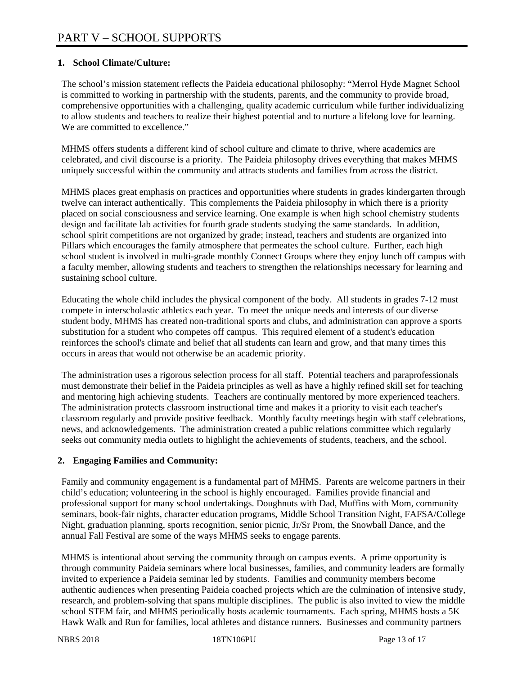## **1. School Climate/Culture:**

The school's mission statement reflects the Paideia educational philosophy: "Merrol Hyde Magnet School is committed to working in partnership with the students, parents, and the community to provide broad, comprehensive opportunities with a challenging, quality academic curriculum while further individualizing to allow students and teachers to realize their highest potential and to nurture a lifelong love for learning. We are committed to excellence."

MHMS offers students a different kind of school culture and climate to thrive, where academics are celebrated, and civil discourse is a priority. The Paideia philosophy drives everything that makes MHMS uniquely successful within the community and attracts students and families from across the district.

MHMS places great emphasis on practices and opportunities where students in grades kindergarten through twelve can interact authentically. This complements the Paideia philosophy in which there is a priority placed on social consciousness and service learning. One example is when high school chemistry students design and facilitate lab activities for fourth grade students studying the same standards. In addition, school spirit competitions are not organized by grade; instead, teachers and students are organized into Pillars which encourages the family atmosphere that permeates the school culture. Further, each high school student is involved in multi-grade monthly Connect Groups where they enjoy lunch off campus with a faculty member, allowing students and teachers to strengthen the relationships necessary for learning and sustaining school culture.

Educating the whole child includes the physical component of the body. All students in grades 7-12 must compete in interscholastic athletics each year. To meet the unique needs and interests of our diverse student body, MHMS has created non-traditional sports and clubs, and administration can approve a sports substitution for a student who competes off campus. This required element of a student's education reinforces the school's climate and belief that all students can learn and grow, and that many times this occurs in areas that would not otherwise be an academic priority.

The administration uses a rigorous selection process for all staff. Potential teachers and paraprofessionals must demonstrate their belief in the Paideia principles as well as have a highly refined skill set for teaching and mentoring high achieving students. Teachers are continually mentored by more experienced teachers. The administration protects classroom instructional time and makes it a priority to visit each teacher's classroom regularly and provide positive feedback. Monthly faculty meetings begin with staff celebrations, news, and acknowledgements. The administration created a public relations committee which regularly seeks out community media outlets to highlight the achievements of students, teachers, and the school.

#### **2. Engaging Families and Community:**

Family and community engagement is a fundamental part of MHMS. Parents are welcome partners in their child's education; volunteering in the school is highly encouraged. Families provide financial and professional support for many school undertakings. Doughnuts with Dad, Muffins with Mom, community seminars, book-fair nights, character education programs, Middle School Transition Night, FAFSA/College Night, graduation planning, sports recognition, senior picnic, Jr/Sr Prom, the Snowball Dance, and the annual Fall Festival are some of the ways MHMS seeks to engage parents.

MHMS is intentional about serving the community through on campus events. A prime opportunity is through community Paideia seminars where local businesses, families, and community leaders are formally invited to experience a Paideia seminar led by students. Families and community members become authentic audiences when presenting Paideia coached projects which are the culmination of intensive study, research, and problem-solving that spans multiple disciplines. The public is also invited to view the middle school STEM fair, and MHMS periodically hosts academic tournaments. Each spring, MHMS hosts a 5K Hawk Walk and Run for families, local athletes and distance runners. Businesses and community partners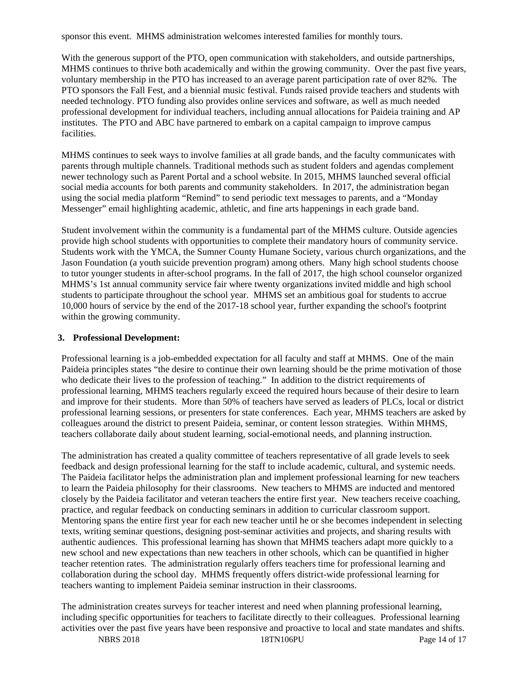sponsor this event. MHMS administration welcomes interested families for monthly tours.

With the generous support of the PTO, open communication with stakeholders, and outside partnerships, MHMS continues to thrive both academically and within the growing community. Over the past five years, voluntary membership in the PTO has increased to an average parent participation rate of over 82%. The PTO sponsors the Fall Fest, and a biennial music festival. Funds raised provide teachers and students with needed technology. PTO funding also provides online services and software, as well as much needed professional development for individual teachers, including annual allocations for Paideia training and AP institutes. The PTO and ABC have partnered to embark on a capital campaign to improve campus facilities.

MHMS continues to seek ways to involve families at all grade bands, and the faculty communicates with parents through multiple channels. Traditional methods such as student folders and agendas complement newer technology such as Parent Portal and a school website. In 2015, MHMS launched several official social media accounts for both parents and community stakeholders. In 2017, the administration began using the social media platform "Remind" to send periodic text messages to parents, and a "Monday Messenger" email highlighting academic, athletic, and fine arts happenings in each grade band.

Student involvement within the community is a fundamental part of the MHMS culture. Outside agencies provide high school students with opportunities to complete their mandatory hours of community service. Students work with the YMCA, the Sumner County Humane Society, various church organizations, and the Jason Foundation (a youth suicide prevention program) among others. Many high school students choose to tutor younger students in after-school programs. In the fall of 2017, the high school counselor organized MHMS's 1st annual community service fair where twenty organizations invited middle and high school students to participate throughout the school year. MHMS set an ambitious goal for students to accrue 10,000 hours of service by the end of the 2017-18 school year, further expanding the school's footprint within the growing community.

#### **3. Professional Development:**

Professional learning is a job-embedded expectation for all faculty and staff at MHMS. One of the main Paideia principles states "the desire to continue their own learning should be the prime motivation of those who dedicate their lives to the profession of teaching." In addition to the district requirements of professional learning, MHMS teachers regularly exceed the required hours because of their desire to learn and improve for their students. More than 50% of teachers have served as leaders of PLCs, local or district professional learning sessions, or presenters for state conferences. Each year, MHMS teachers are asked by colleagues around the district to present Paideia, seminar, or content lesson strategies. Within MHMS, teachers collaborate daily about student learning, social-emotional needs, and planning instruction.

The administration has created a quality committee of teachers representative of all grade levels to seek feedback and design professional learning for the staff to include academic, cultural, and systemic needs. The Paideia facilitator helps the administration plan and implement professional learning for new teachers to learn the Paideia philosophy for their classrooms. New teachers to MHMS are inducted and mentored closely by the Paideia facilitator and veteran teachers the entire first year. New teachers receive coaching, practice, and regular feedback on conducting seminars in addition to curricular classroom support. Mentoring spans the entire first year for each new teacher until he or she becomes independent in selecting texts, writing seminar questions, designing post-seminar activities and projects, and sharing results with authentic audiences. This professional learning has shown that MHMS teachers adapt more quickly to a new school and new expectations than new teachers in other schools, which can be quantified in higher teacher retention rates. The administration regularly offers teachers time for professional learning and collaboration during the school day. MHMS frequently offers district-wide professional learning for teachers wanting to implement Paideia seminar instruction in their classrooms.

NBRS 2018 18TN106PU Page 14 of 17 The administration creates surveys for teacher interest and need when planning professional learning, including specific opportunities for teachers to facilitate directly to their colleagues. Professional learning activities over the past five years have been responsive and proactive to local and state mandates and shifts.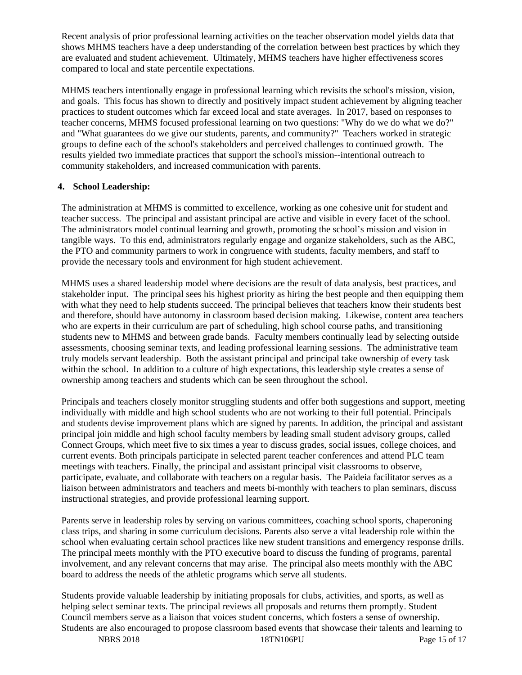Recent analysis of prior professional learning activities on the teacher observation model yields data that shows MHMS teachers have a deep understanding of the correlation between best practices by which they are evaluated and student achievement. Ultimately, MHMS teachers have higher effectiveness scores compared to local and state percentile expectations.

MHMS teachers intentionally engage in professional learning which revisits the school's mission, vision, and goals. This focus has shown to directly and positively impact student achievement by aligning teacher practices to student outcomes which far exceed local and state averages. In 2017, based on responses to teacher concerns, MHMS focused professional learning on two questions: "Why do we do what we do?" and "What guarantees do we give our students, parents, and community?" Teachers worked in strategic groups to define each of the school's stakeholders and perceived challenges to continued growth. The results yielded two immediate practices that support the school's mission--intentional outreach to community stakeholders, and increased communication with parents.

## **4. School Leadership:**

The administration at MHMS is committed to excellence, working as one cohesive unit for student and teacher success. The principal and assistant principal are active and visible in every facet of the school. The administrators model continual learning and growth, promoting the school's mission and vision in tangible ways. To this end, administrators regularly engage and organize stakeholders, such as the ABC, the PTO and community partners to work in congruence with students, faculty members, and staff to provide the necessary tools and environment for high student achievement.

MHMS uses a shared leadership model where decisions are the result of data analysis, best practices, and stakeholder input. The principal sees his highest priority as hiring the best people and then equipping them with what they need to help students succeed. The principal believes that teachers know their students best and therefore, should have autonomy in classroom based decision making. Likewise, content area teachers who are experts in their curriculum are part of scheduling, high school course paths, and transitioning students new to MHMS and between grade bands. Faculty members continually lead by selecting outside assessments, choosing seminar texts, and leading professional learning sessions. The administrative team truly models servant leadership. Both the assistant principal and principal take ownership of every task within the school. In addition to a culture of high expectations, this leadership style creates a sense of ownership among teachers and students which can be seen throughout the school.

Principals and teachers closely monitor struggling students and offer both suggestions and support, meeting individually with middle and high school students who are not working to their full potential. Principals and students devise improvement plans which are signed by parents. In addition, the principal and assistant principal join middle and high school faculty members by leading small student advisory groups, called Connect Groups, which meet five to six times a year to discuss grades, social issues, college choices, and current events. Both principals participate in selected parent teacher conferences and attend PLC team meetings with teachers. Finally, the principal and assistant principal visit classrooms to observe, participate, evaluate, and collaborate with teachers on a regular basis. The Paideia facilitator serves as a liaison between administrators and teachers and meets bi-monthly with teachers to plan seminars, discuss instructional strategies, and provide professional learning support.

Parents serve in leadership roles by serving on various committees, coaching school sports, chaperoning class trips, and sharing in some curriculum decisions. Parents also serve a vital leadership role within the school when evaluating certain school practices like new student transitions and emergency response drills. The principal meets monthly with the PTO executive board to discuss the funding of programs, parental involvement, and any relevant concerns that may arise. The principal also meets monthly with the ABC board to address the needs of the athletic programs which serve all students.

Students provide valuable leadership by initiating proposals for clubs, activities, and sports, as well as helping select seminar texts. The principal reviews all proposals and returns them promptly. Student Council members serve as a liaison that voices student concerns, which fosters a sense of ownership. Students are also encouraged to propose classroom based events that showcase their talents and learning to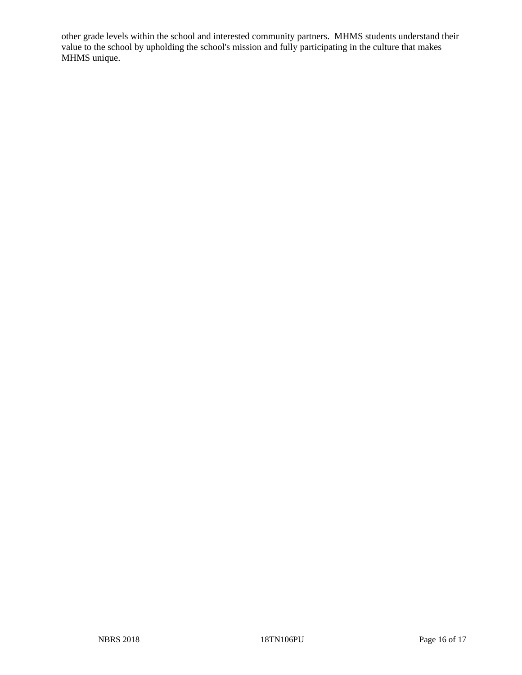other grade levels within the school and interested community partners. MHMS students understand their value to the school by upholding the school's mission and fully participating in the culture that makes MHMS unique.